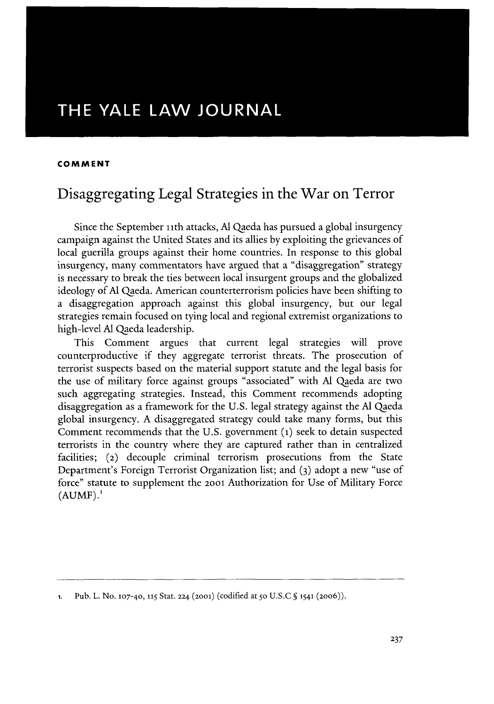# THE YALE LAW **JOURNAL**

#### **COMMENT**

# Disaggregating Legal Strategies in the War on Terror

Since the September ith attacks, **Al** Qaeda has pursued a global insurgency campaign against the United States and its allies **by** exploiting the grievances of local guerilla groups against their home countries. In response to this global insurgency, many commentators have argued that a "disaggregation" strategy is necessary to break the ties between local insurgent groups and the globalized ideology of **Al** Qaeda. American counterterrorism policies have been shifting to a disaggregation approach against this global insurgency, but our legal strategies remain focused on tying local and regional extremist organizations to high-level **Al** Qaeda leadership.

This Comment argues that current legal strategies will prove counterproductive if they aggregate terrorist threats. The prosecution of terrorist suspects based on the material support statute and the legal basis for the use of military force against groups "associated" with **Al** Qaeda are two such aggregating strategies. Instead, this Comment recommends adopting disaggregation as a framework for the **U.S.** legal strategy against the **Al** Qaeda global insurgency. **A** disaggregated strategy could take many forms, but this Comment recommends that the **U.S.** government **(1)** seek to detain suspected terrorists in the country where they are captured rather than in centralized facilities; **(2)** decouple criminal terrorism prosecutions from the State Department's Foreign Terrorist Organization list; and **(3)** adopt a new "use of force" statute to supplement the **20ol** Authorization for Use of Military Force **(AUMF).'**

**<sup>1.</sup> Pub. L. No. 107-40, 115** Stat. **224 (2001)** (codified at **50 U.S.C § 1541 (20o6)).**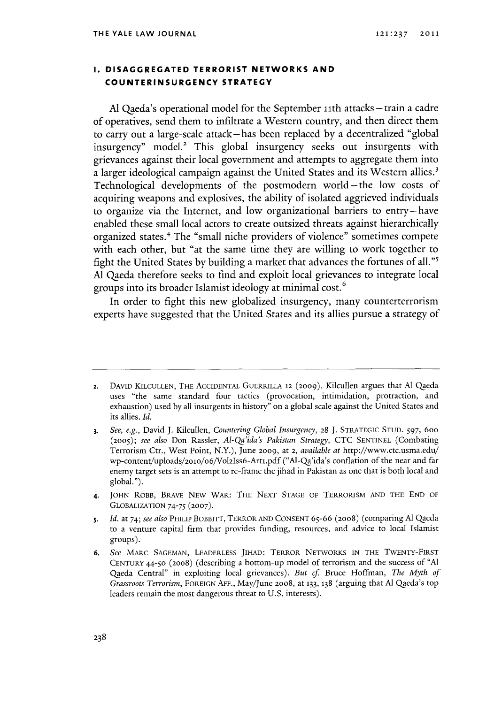# **1. DISAGGREGATED TERRORIST NETWORKS AND COUNTERINSURGENCY STRATEGY**

**Al** Qaeda's operational model for the September iith attacks **-** train a cadre of operatives, send them to infiltrate a Western country, and then direct them to carry out a large-scale attack-has been replaced **by** a decentralized "global insurgency" model.<sup>2</sup> This global insurgency seeks out insurgents with grievances against their local government and attempts to aggregate them into a larger ideological campaign against the United States and its Western allies.' Technological developments of the postmodern world-the low costs of acquiring weapons and explosives, the ability of isolated aggrieved individuals to organize via the Internet, and low organizational barriers to entry-have enabled these small local actors to create outsized threats against hierarchically organized states.4 The "small niche providers of violence" sometimes compete with each other, but "at the same time they are willing to work together to fight the United States **by** building a market that advances the fortunes of all."s **Al** Qaeda therefore seeks to find and exploit local grievances to integrate local groups into its broader Islamist ideology at minimal cost.

In order to fight this new globalized insurgency, many counterterrorism experts have suggested that the United States and its allies pursue a strategy of

4. **JOHN** RoBB, **BRAVE** NEw WAR: THE **NEXT STAGE** OF TERRORISM **AND** THE **END** OF **GLOBALIZATION** *74-75* **(2007).**

**<sup>2.</sup> DAVID KILCULLEN, THE** ACCIDENTAL GUERRILLA **12 (2009).** Kilcullen argues that **Al** Qaeda uses "the same standard four tactics (provocation, intimidation, protraction, and exhaustion) used **by** all insurgents in history" on a global scale against the United States and its allies. *Id.*

**<sup>3.</sup>** *See, e.g.,* David **J.** Kilcullen, *Countering Global Insurgency, 28* **J.** STRATEGIC **STUD.** *597,* 6oo *(2005); see also* Don Rassler, *Al-Qa'ida's Pakistan Strategy,* **CTC SENTINEL** (Combating Terrorism Ctr., West Point, N.Y.), June **2009,** at **2,** *available at* http://www.ctc.usma.edu/ wp-content/uploads/2oo/o6/Vol2Iss6-Artl.pdf ("Al-Qa'ida's conflation of the near and far enemy target sets is an attempt to re-frame the jihad in Pakistan as one that is both local and global.").

**<sup>5.</sup>** *Id.* at 74; *see also* PHILIP BOBBITT, TERROR **AND CONSENT 65-66 (2008)** (comparing **Al** Qaeda to a venture capital firm that provides funding, resources, and advice to local Islamist groups).

**<sup>6.</sup>** *See* **MARC SAGEMAN, LEADERLESS JIHAD: TERROR NETwORKS IN** THE TWENTY-FIRST **CENTURY** 44-5O **(2008)** (describing a bottom-up model of terrorism and the success of **"Al** Qaeda Central" in exploiting local grievances). *But cf* Bruce Hoffman, *The Myth of Grassroots Terrorism,* **FOREIGN AFF.,** May/June **2008,** at **133, 138** (arguing that **Al** Qaeda's top leaders remain the most dangerous threat to **U.S.** interests).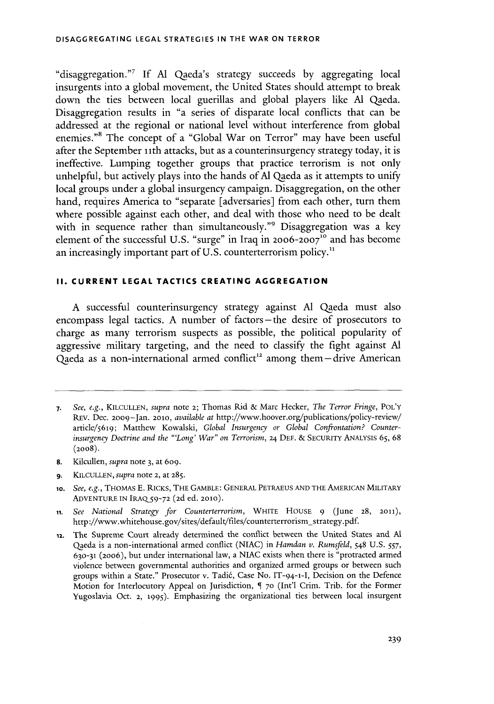"disaggregation."7 **If Al** Qaeda's strategy succeeds **by** aggregating local insurgents into a global movement, the United States should attempt to break down the ties between local guerillas and global players like **Al** Qaeda. Disaggregation results in "a series of disparate local conflicts that can be addressed at the regional or national level without interference from global enemies."<sup>8</sup> The concept of a "Global War on Terror" may have been useful after the September 11th attacks, but as a counterinsurgency strategy today, it is ineffective. Lumping together groups that practice terrorism is not only unhelpful, but actively plays into the hands of **Al** Qaeda as it attempts to unify local groups under a global insurgency campaign. Disaggregation, on the other hand, requires America to "separate [adversaries] from each other, turn them where possible against each other, and deal with those who need to be dealt with in sequence rather than simultaneously."' Disaggregation was a **key** element of the successful U.S. "surge" in Iraq in 2006-2007<sup>10</sup> and has become an increasingly important part of **U.S.** counterterrorism policy."

# **II. CURRENT LEGAL TACTICS CREATING AGGREGATION**

**A** successful counterinsurgency strategy against **Al** Qaeda must also encompass legal tactics. **A** number of factors - the desire of prosecutors to charge as many terrorism suspects as possible, the political popularity of aggressive military targeting, and the need to classify the fight against **Al** Qaeda as a non-international armed conflict<sup>12</sup> among them-drive American

- **8.** Kilcullen, *supra* note **3,** at **609.**
- **9. KILCULLEN,** *supra* note 2, at **285.**

**<sup>7.</sup>** *See, e.g.,* **KILCULLEN,** *supra* note 2; Thomas Rid **&** Marc Hecker, *The Terror Fringe,* POL'Y REv. Dec. 2009-Jan. **2010,** *available at* http://www.hoover.org/publications/policy-review/ article/5619; Matthew Kowalski, *Global Insurgency or Global Confrontation? Counterinsurgency Doctrine and the "Long' War" on Terrorism,* 24 **DEF. &** SECURITY ANALYSIS *65,* **68 (2008).**

**<sup>1</sup>o.** *See, e.g.,* THOMAS **E.** RICKS, THE GAMBLE: **GENERAL PETRAEUS AND** THE AMERICAN MILITARY **ADVENTURE IN IRAQ59-72 (2d** ed. 2010).

**ii.** *See National Strategy for Counterterrorism,* WHITE **HOUSE 9** (June **28,** 2011), http://www.whitehouse.gov/sites/default/files/counterterrorism-strategy.pdf.

**<sup>12.</sup>** The Supreme Court already determined the conflict between the United States and **Al** Qaeda is a non-international armed conflict **(NIAC)** in *Hamdan v. Rumsfeld,* 548 **U.S. 557, 630-31** (20o6), but under international law, a **NIAC** exists when there is "protracted armed violence between governmental authorities and organized armed groups or between such groups within a State." Prosecutor v. Tadid, Case No. IT-94-1-I, Decision on the Defence Motion for Interlocutory Appeal on Jurisdiction, **5 70** (Int'l Crim. Trib. for the Former Yugoslavia Oct. 2, 1995). Emphasizing the organizational ties between local insurgent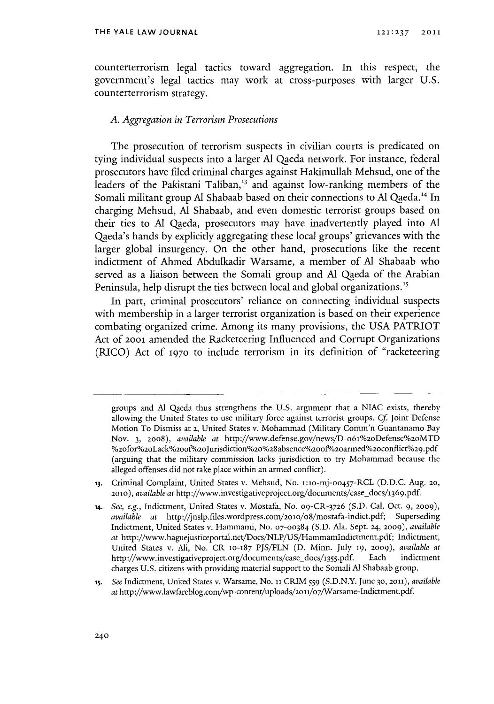counterterrorism legal tactics toward aggregation. In this respect, the government's legal tactics may work at cross-purposes with larger **U.S.** counterterrorism strategy.

#### *A. Aggregation in Terrorism Prosecutions*

The prosecution of terrorism suspects in civilian courts is predicated on tying individual suspects into a larger **Al** Qaeda network. For instance, federal prosecutors have filed criminal charges against Hakimullah Mehsud, one of the leaders of the Pakistani Taliban,<sup>13</sup> and against low-ranking members of the Somali militant group **Al** Shabaab based on their connections to **Al** Qaeda.'4 In charging Mehsud, **Al** Shabaab, and even domestic terrorist groups based on their ties to **Al** Qaeda, prosecutors may have inadvertently played into **Al** Qaeda's hands **by** explicitly aggregating these local groups' grievances with the larger global insurgency. On the other hand, prosecutions like the recent indictment of Ahmed Abdulkadir Warsame, a member of **Al** Shabaab who served as a liaison between the Somali group and **Al** Qaeda of the Arabian Peninsula, help disrupt the ties between local and global organizations."

In part, criminal prosecutors' reliance on connecting individual suspects with membership in a larger terrorist organization is based on their experience combating organized crime. Among its many provisions, the **USA** PATRIOT Act **of 20ol** amended the Racketeering Influenced and Corrupt Organizations (RICO) Act **of 1970** to include terrorism in its definition of "racketeering

- **13.** Criminal Complaint, United States v. Mehsud, No. 1:10-mj-oo457-RCL **(D.D.C.** Aug. **20,** *2010), available at* http://www.investigativeproject.org/documents/case-docs/1369.pdf.
- **14.** *See, e.g.,* Indictment, United States v. Mostafa, No. og-CR-3726 **(S.D.** Cal. *Oct.* **9, 2009),** *available at* http://jnslp.files.wordpress.com/2olo/o8/mostafa-indict.pdf; Superseding Indictment, United States v. Hammami, No. **07-00384 (S.D.** Ala. Sept. 24, **2009),** *available at* http://www.haguejusticeportal.net/Docs/NLP/US/Hammamlndictment.pdf; Indictment, United States v. Ali, No. CR 10-187 **PJS/FLN (D.** Minn. July **19,** *2009), available at* http://www.investigativeproject.org/documents/case\_docs/1355.pdf. Each indictment charges **U.S.** citizens with providing material support to the Somali **Al** Shabaab group.
- *is. See* Indictment, United States v. Warsame, No. **ii** CRIM **559 (S.D.N.Y.** June **30, 2011),** *available* at http://www.lawfareblog.com/wp-content/uploads/2011/07/Warsame-Indictment.pdf.

groups and **Al** Qaeda thus strengthens the **U.S.** argument that a **NIAC** exists, thereby allowing the United States to use military force against terrorist groups. *Cf* Joint Defense Motion To Dismiss at **2,** United States v. Mohammad (Military Comm'n Guantanamo Bay Nov. **3, 2008),** *available at* http://www.defense.gov/news/D-o61%2oDefense%2oMTD %2ofor%2oLack%200f/2oJurisdiction%20%028absence%200f/2oarmed%20conflict%29 **.pdf** (arguing that the military commission lacks jurisdiction to try Mohammad because the alleged offenses did not take place within an armed conflict).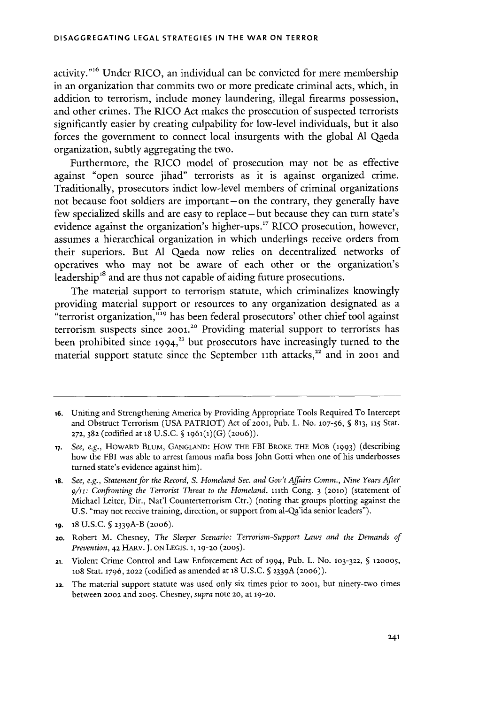activity."<sup>16</sup> Under RICO, an individual can be convicted for mere membership in an organization that commits two or more predicate criminal acts, which, in addition to terrorism, include money laundering, illegal firearms possession, and other crimes. The RICO Act makes the prosecution of suspected terrorists significantly easier **by** creating culpability for low-level individuals, but it also forces the government to connect local insurgents with the global **Al** Qaeda organization, subtly aggregating the two.

Furthermore, the RICO model of prosecution may not be as effective against "open source jihad" terrorists as it is against organized crime. Traditionally, prosecutors indict low-level members of criminal organizations not because foot soldiers are important-on the contrary, they generally have few specialized skills and are easy to replace-but because they can turn state's evidence against the organization's higher-ups." RICO prosecution, however, assumes a hierarchical organization in which underlings receive orders from their superiors. But **Al** Qaeda now relies on decentralized networks of operatives who may not be aware of each other or the organization's leadership<sup>18</sup> and are thus not capable of aiding future prosecutions.

The material support to terrorism statute, which criminalizes knowingly providing material support or resources to any organization designated as a "terrorist organization,"<sup>19</sup> has been federal prosecutors' other chief tool against terrorism suspects since **2001.20** Providing material support to terrorists has been prohibited since **1994,"** but prosecutors have increasingly turned to the material support statute since the September 11th attacks,<sup>22</sup> and in 2001 and

- **21.** Violent Crime Control and Law Enforcement Act **of 1994,** Pub. L. No. **103-322, § 120005,** 1o8 Stat. **1796, 2022** (codified as amended at **18 U.S.C. § 2339A** (20o6)).
- **22.** The material support statute was used only six times prior to **2001,** but ninety-two times between **2002** and **2005.** Chesney, *supra* note **20,** at **19-20.**

**<sup>16.</sup>** Uniting and Strengthening America **by** Providing Appropriate Tools Required To Intercept and Obstruct Terrorism **(USA** PATRIOT) Act **of 2001,** Pub. L. No. **107-56, § 813, 115** Stat. **272, 382** (codified at 18 **U.S.C. § 1961(1)(G) (2oo6)).**

**<sup>17.</sup>** *See, e.g.,* HOwARD **BLUM, GANGLAND:** HOW **THE** FBI BROKE THE MOB **(1993)** (describing how the FBI was able to arrest famous mafia boss John Gotti when one of his underbosses turned state's evidence against him).

**is.** *See, e.g., Statement for the Record, S. Homeland Sec. and Gov't Affairs Comm., Nine Years After* **9/11:** *Confronting the Terrorist Threat to the Homeland,* 111th Cong. **3 (2010)** (statement of Michael Leiter, Dir., Nat'l Counterterrorism Ctr.) (noting that groups plotting against the **U.S.** "may not receive training, direction, or support from al-Qa'ida senior leaders").

**<sup>19. 18</sup> U.S.C. § 23 39A-B (2006).**

<sup>20.</sup> Robert M. Chesney, *The Sleeper Scenario: Terrorism-Support Laws and the Demands of Prevention,* **42** HARv. **J. ON LEGIS. 1, 19-20 (2005).**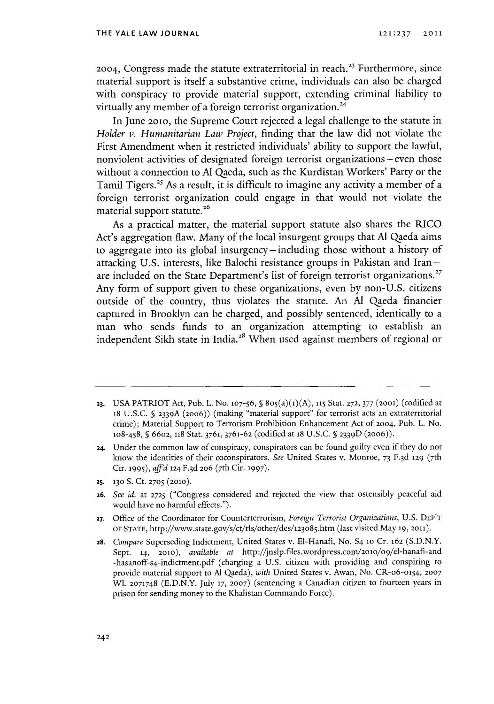2004, Congress made the statute extraterritorial in reach.<sup>23</sup> Furthermore, since material support is itself a substantive crime, individuals can also be charged with conspiracy to provide material support, extending criminal liability to virtually any member of a foreign terrorist organization.<sup>24</sup>

In June **2010,** the Supreme Court rejected a legal challenge to the statute in *Holder v. Humanitarian Law Project,* finding that the law did not violate the First Amendment when it restricted individuals' ability to support the lawful, nonviolent activities of designated foreign terrorist organizations **-** even those without a connection to **Al** Qaeda, such as the Kurdistan Workers' Party or the Tamil Tigers.<sup>25</sup> As a result, it is difficult to imagine any activity a member of a foreign terrorist organization could engage in that would not violate the material support **statute.26**

As a practical matter, the material support statute also shares the RICO Act's aggregation flaw. Many of the local insurgent groups that **Al** Qaeda aims to aggregate into its global insurgency-including those without a history of attacking **U.S.** interests, like Balochi resistance groups in Pakistan and Iranare included on the State Department's list of foreign terrorist organizations.<sup>27</sup> Any form of support given to these organizations, even **by** non-U.S. citizens outside of the country, thus violates the statute. An **Al** Qaeda financier captured in Brooldyn can be charged, and possibly sentenced, identically to a man who sends funds to an organization attempting to establish an independent Sikh state in India.<sup>28</sup> When used against members of regional or

- **25. 130 S.** Ct. **2705 (2010).**
- **26.** *See id.* at **2725** ("Congress considered and rejected the view that ostensibly peaceful aid would have no harmful effects.").
- **27.** Office of the Coordinator for Counterterrorism, *Foreign Terrorist Organizations,* **U.S.** DEP'T **OF STATE,** http://www.state.gov/s/ct/rls/other/des/123o85.htm (last visited May **19, 2011).**
- **28.** *Compare* Superseding Indictment, United States v. El-Hanafi, No. S4 **10** Cr. **162 (S.D.N.Y.** Sept. **14, 2010),** *available at* http://jnslp.files.wordpress.com/2010/09/el-hanafi-and -hasanoff-s4-indictment.pdf (charging a **U.S.** citizen with providing and conspiring to provide material support to **Al** Qaeda), *with* United States v. Awan, No. CR-o6-o54, **2007** WATL **2071748 (E.D.N.Y.** July **17, 2007)** (sentencing a Canadian citizen to fourteen years in prison for sending money to the Khalistan Commando Force).

**<sup>23.</sup>** USA PATRIOT Act, Pub. L. No. 107-56, § 805(a)(1)(A), 115 Stat. 272, 377 (2001) (codified at <sup>18</sup>**U.S.C. § 2339A (20o6))** (making "material support" for terrorist acts an extraterritorial crime); Material Support to Terrorism Prohibition Enhancement Act **of 2004,** Pub. L. No. 108-458, **§ 6602, 118** Stat. 3761, **3761-62** (codified at **18 U.S.C.** 5 **233 <sup>9</sup> D (2006)).**

**<sup>24.</sup>** Under the common law of conspiracy, conspirators can be found guilty even if they do not know the identities of their coconspirators. *See* United States v. Monroe, **73 F.3d 129** ( <sup>7</sup> th Cir. 1995), *aff'd* 124 F.3d 206 (7th Cir. 1997).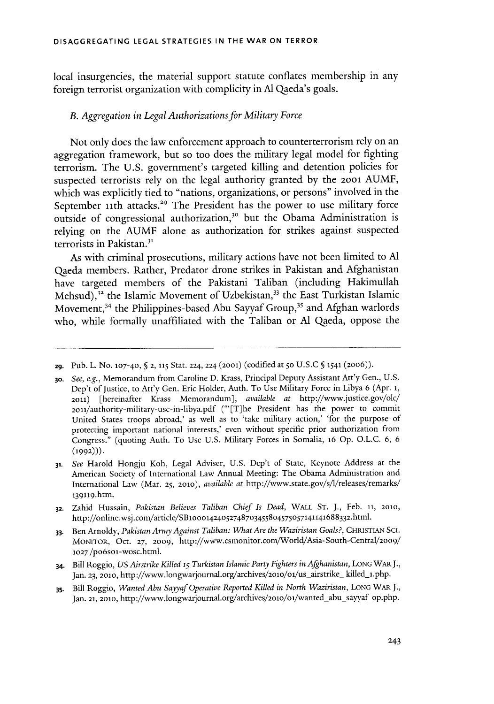local insurgencies, the material support statute conflates membership in any foreign terrorist organization with complicity in **Al** Qaeda's goals.

#### *B. Aggregation in Legal Authorizations for Military Force*

Not only does the law enforcement approach to counterterrorism rely on an aggregation framework, but so too does the military legal model for fighting terrorism. The **U.S.** government's targeted killing and detention policies for suspected terrorists rely on the legal authority granted **by** the **20ol AUMF,** which was explicitly tied to "nations, organizations, or persons" involved in the September 11th attacks.<sup>29</sup> The President has the power to use military force outside of congressional authorization,<sup>30</sup> but the Obama Administration is relying on the **AUMF** alone as authorization for strikes against suspected terrorists in Pakistan.<sup>31</sup>

As with criminal prosecutions, military actions have not been limited to **Al** Qaeda members. Rather, Predator drone strikes in Pakistan and Afghanistan have targeted members of the Pakistani Taliban (including Hakimullah Mehsud),<sup>32</sup> the Islamic Movement of Uzbekistan,<sup>33</sup> the East Turkistan Islamic Movement,<sup>34</sup> the Philippines-based Abu Sayyaf Group,<sup>35</sup> and Afghan warlords who, while formally unaffiliated with the Taliban or **Al** Qaeda, oppose the

**<sup>29.</sup>** Pub. L. No. **107-40, § 2, 115** Stat. **224, 224 (2001)** (codified at **50 U.S.C § 1541 (20o6)).**

**<sup>3</sup>o.** *See, e.g.,* Memorandum from Caroline **D.** Krass, Principal Deputy Assistant Att'y Gen., **U.S.** Dep't of Justice, to Att'y Gen. Eric Holder, Auth. To Use Military Force in Libya **6** (Apr. **1, 2011)** [hereinafter Krass Memorandum], *available at* http://www.justice.gov/olc/ 201/authority-military-use-in-libya.pdf ("'[T]he President has the power to commit United States troops abroad,' as well as to 'take military action,' 'for the purpose of protecting important national interests,' even without specific prior authorization from Congress." (quoting Auth. To Use **U.S.** Military Forces in Somalia, **16 Op. O.L.C. 6, 6 (1992))).**

**<sup>31.</sup>** *See* Harold Hongju Koh, Legal Adviser, **U.S.** Dep't of State, Keynote Address at the American Society of International Law Annual Meeting: The Obama Administration and International Law (Mar. **25, 2010),** *available at* http://www.state.gov/s/l/releases/remarks/ 13 9i19.htm.

**<sup>32.</sup>** Zahid Hussain, *Pakistan Believes Taliban Chief Is Dead,* WALL **ST. J.,** Feb. **11, 2010,** http://online.wsj.com/article/SBloool424o5274873455804575o57141141688332.html.

**<sup>33.</sup>** Ben Arnoldy, *Pakistan Army Against Taliban: What Are the Waziristan Goals?,* **CHRISTIAN SCI. MONITOR,** Oct. **27, 2009,** http://www.csmonitor.com/World/Asia-South-Central/2009/ **1027** /po6soi-wosc.html.

<sup>34.</sup> Bill Roggio, *US Airstrike Killed 15 Turkistan Islamic Party Fighters in Afghanistan,* **LONG WARJ.,** Jan. 23, 2010, http://www.longwarjournal.org/archives/2010/01/us\_airstrike\_ killed\_1.php.

**<sup>3</sup>s.** Bill Roggio, *Wanted Abu Sayyaf Operative Reported Killed in North Waziristan,* **LONG WAR J.,** Jan. **21, 2010,** http://www.longwarjournal.org/archives/2010/oi/wanted-abu-sayyaf **op.php.**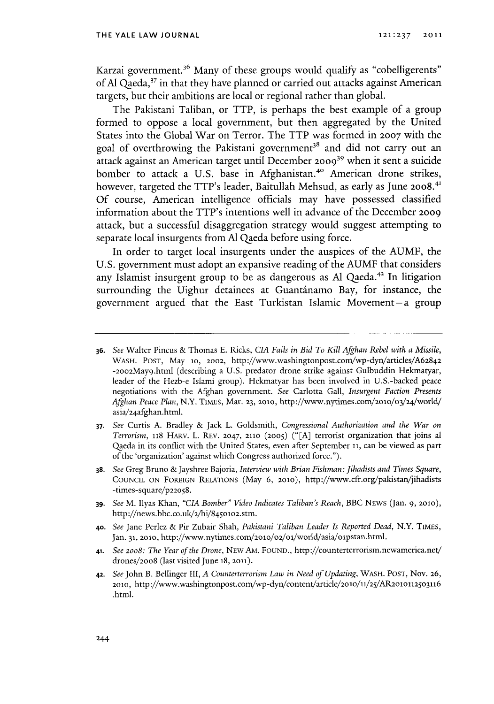Karzai government.<sup>36</sup> Many of these groups would qualify as "cobelligerents" of **Al** Qaeda,17 in that they have planned or carried out attacks against American targets, but their ambitions are local or regional rather than global.

The Pakistani Taliban, or TTP, is perhaps the best example of a group formed to oppose a local government, but then aggregated **by** the United States into the Global War on Terror. The TTP was formed in **2007** with the goal of overthrowing the Pakistani government<sup>38</sup> and did not carry out an attack against an American target until December **20o9'** when it sent a suicide bomber to attack a U.S. base in Afghanistan.<sup>40</sup> American drone strikes, however, targeted the TTP's leader, Baitullah Mehsud, as early as June **20o8.\*' Of** course, American intelligence officials may have possessed classified information about the TTP's intentions well in advance of the December **2009** attack, but a successful disaggregation strategy would suggest attempting to separate local insurgents from **Al** Qaeda before using force.

In order to target local insurgents under the auspices of the **AUMF,** the **U.S.** government must adopt an expansive reading of the **AUMF** that considers any Islamist insurgent group to be as dangerous as **Al** Qaeda." In litigation surrounding the Uighur detainees at Guantinamo Bay, for instance, the government argued that the East Turkistan Islamic Movement-a group

- **37.** *See* Curtis **A.** Bradley **&** Jack L. Goldsmith, *Congressional Authorization and the War on Terrorism,* 118 HARv. L. REv. **2047, 2110 (2005) ("[A]** terrorist organization that joins al Qaeda in its conflict with the United States, even after September **11,** can be viewed as part of the 'organization' against which Congress authorized force.").
- **38.** *See* Greg Bruno **&** Jayshree Bajoria, *Interview with Brian Fishman: Jihadists and Times Square,* **COUNCIL ON** FOREIGN **RELATIONS** (May **6, 2010),** http://www.cfr.org/pakistan/jihadists -times-square/p22058.
- **39.** *See* M. Ilyas Khan, *"CIA Bomber" Video Indicates Taliban's Reach,* BBC **NEWS** (Jan. **9, 2010),** http://news.bbc.co.uk/2/hi/84501o2.stm.
- **40.** *See* Jane Perlez **&** Pir Zubair Shah, *Pakistani Taliban Leader Is Reported Dead,* N.Y. TIMES, Jan. **31, 20o,** http://www.nytimes.com/2olo/o2/o/world/asia/olpstan.htm.
- **41.** *See 20o8: The Year of the Drone, NEW* AM. **FOUND.,** http://counterterrorism.newamerica.nev drones/2008 (last visited June **18, 2011).**
- **42.** *See* John B. Bellinger III, *A Counterterrorism Law in Need of Updating,* WASH. **POST, Nov. 26,** 2010, http://www.washingtonpost.com/wp-dyn/content/article/2010/11/25/AR2010112503116 .html.

**<sup>36.</sup>** See Walter Pincus **&** Thomas **E.** Ricks, *CIA Fails in Bid To Kill Afghan Rebel with a Missile,* WASH. **POST,** May **1o, 2002,** http://www.washingtonpost.com/wp-dyn/articles/A62842 -2002May9.html (describing a **U.S.** predator drone strike against Gulbuddin Hekmatyar, leader of the Hezb-e Islami group). Hekmatyar has been involved in U.S.-backed peace negotiations with the Mghan government. *See* Carlotta Gall, *Insurgent Faction Presents* Afghan Peace Plan, N.Y. TIMES, Mar. 23, 2010, http://www.nytimes.com/2010/03/24/world/ asia/24afghan.html.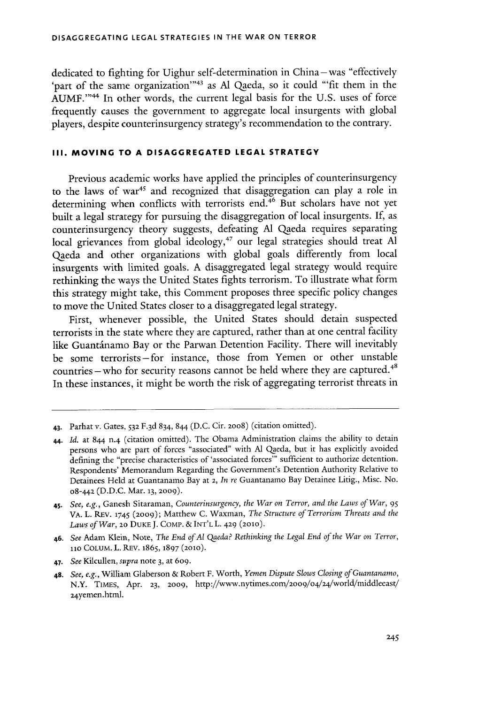dedicated to fighting for Uighur self-determination in China-was "effectively 'part of the same organization'<sup>143</sup> as Al Qaeda, so it could "'fit them in the **AUMF."'** In other words, the current legal basis for the **U.S.** uses of force frequently causes the government to aggregate local insurgents with global players, despite counterinsurgency strategy's recommendation to the contrary.

# **III. MOVING TO A DISAGGREGATED LEGAL STRATEGY**

Previous academic works have applied the principles of counterinsurgency to the laws of war<sup>45</sup> and recognized that disaggregation can play a role in determining when conflicts with terrorists end.<sup>46</sup> But scholars have not yet built a legal strategy for pursuing the disaggregation of local insurgents. **If,** as counterinsurgency theory suggests, defeating **Al** Qaeda requires separating local grievances from global ideology," our legal strategies should treat **Al** Qaeda and other organizations with global goals differently from local insurgents with limited goals. **A** disaggregated legal strategy would require rethinking the ways the United States fights terrorism. To illustrate what form this strategy might take, this Comment proposes three specific policy changes to move the United States closer to a disaggregated legal strategy.

First, whenever possible, the United States should detain suspected terrorists in the state where they are captured, rather than at one central facility like Guantánamo Bay or the Parwan Detention Facility. There will inevitably be some terrorists-for instance, those from Yemen or other unstable  $countries$  -who for security reasons cannot be held where they are captured.<sup>48</sup> In these instances, it might be worth the risk of aggregating terrorist threats in

<sup>43.</sup> Parhat v. Gates, **532 F.3d** 834, 844 **(D.C.** Cir. 20o8) (citation omitted).

<sup>44.</sup> *Id.* at 844 n-4 (citation omitted). The Obama Administration claims the ability to detain persons who are part of forces "associated" with **Al** Qaeda, but it has explicitly avoided defining the "precise characteristics of 'associated forces"' sufficient to authorize detention. Respondents' Memorandum Regarding the Government's Detention Authority Relative to Detainees Held at Guantanamo Bay at **2,** *In re* Guantanamo Bay Detainee Litig., Misc. No. 08-442 **(D.D.C.** Mar. **13, 2009).**

<sup>4</sup>s. *See, e.g.,* Ganesh Sitaraman, *Counterinsurgency, the War on Terror, and the Laws of War, <sup>95</sup>* VA. L. REV. **1745 (2009);** Matthew **C.** Waxman, *The Structure of Terrorism Threats and the Laws of War,* **2o** DuKE **J.** COMP. **& INT'L** L. **429 (2010).**

**<sup>46.</sup>** *See* Adam Klein, Note, *The End ofAl Qaeda? Rethinking the Legal End of the War on Terror,* **110** COLuM. L. REV. **1865,** 1897 **(2010).**

<sup>47.</sup> *See Kilcullen, supra* note **3,** at 609.

**<sup>48.</sup>** *See, e.g.,* William Glaberson **&** Robert F. Worth, *Yemen Dispute Slows Closing of Guantanamo,* N.Y. TIMEs, Apr. **23, 2009,** http://www.nytimes.con/2oo9/o4/24/world/middleeast/ 24yemen.html.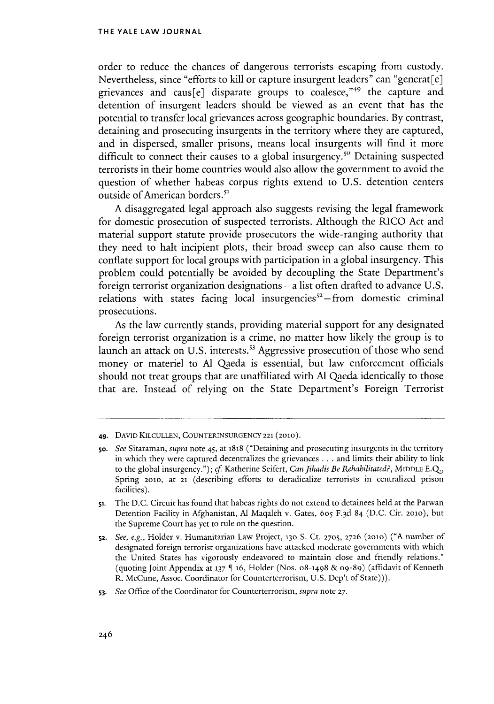order to reduce the chances of dangerous terrorists escaping from custody. Nevertheless, since "efforts to kill or capture insurgent leaders" can "generat[e] grievances and caus[e] disparate groups to coalesce,"49 the capture and detention of insurgent leaders should be viewed as an event that has the potential to transfer local grievances across geographic boundaries. **By** contrast, detaining and prosecuting insurgents in the territory where they are captured, and in dispersed, smaller prisons, means local insurgents will find it more difficult to connect their causes to a global insurgency.<sup>50</sup> Detaining suspected terrorists in their home countries would also allow the government to avoid the question of whether habeas corpus rights extend to **U.S.** detention centers outside of American borders.<sup>51</sup>

**A** disaggregated legal approach also suggests revising the legal framework for domestic prosecution of suspected terrorists. Although the RICO Act and material support statute provide prosecutors the wide-ranging authority that they need to halt incipient plots, their broad sweep can also cause them to conflate support for local groups with participation in a global insurgency. This problem could potentially be avoided **by** decoupling the State Department's foreign terrorist organization designations **-a** list often drafted to advance **U.S.** relations with states facing local insurgencies $s^2$ -from domestic criminal prosecutions.

As the law currently stands, providing material support for any designated foreign terrorist organization is a crime, no matter how likely the group is to launch an attack on U.S. interests.<sup>53</sup> Aggressive prosecution of those who send money or materiel to **Al** Qaeda is essential, but law enforcement officials should not treat groups that are unaffiliated with **Al** Qaeda identically to those that are. Instead of relying on the State Department's Foreign Terrorist

**53.** *See Office* of the Coordinator for Counterterrorism, *supra* note **27.**

**<sup>49.</sup> DAVID KILCULLEN, COUNTERINSURGENCY 221 (2010).**

So. *See* Sitaraman, *supra* note 45, at **1818** ("Detaining and prosecuting insurgents in the territory in which they were captured decentralizes the grievances **.** . **.** and limits their ability to link to the global insurgency."); cf Katherine Seifert, *Can fihadis Be Rehabilitated?,* MIDDLE **EQ.,** Spring **2010,** at **21** (describing efforts to deradicalize terrorists in centralized prison facilities).

**<sup>51.</sup>** The **D.C.** Circuit has found that habeas rights do not extend to detainees held at the Parwan Detention Facility in Afghanistan, Al Maqaleh v. Gates, 605 F.3d 84 (D.C. Cir. 2010), but the Supreme Court has yet to rule on the question.

<sup>52.</sup> *See, e.g.,* Holder v. Humanitarian Law Project, **130 S.** Ct. **2705, 2726 (2010) ("A** number of designated foreign terrorist organizations have attacked moderate governments with which the United States has vigorously endeavored to maintain close and friendly relations." (quoting Joint Appendix at **137** [ **16,** Holder (Nos. **08-1498 & 09-89)** (affidavit of Kenneth R. McCune, Assoc. Coordinator for Counterterrorism, **U.S.** Dep't of State))).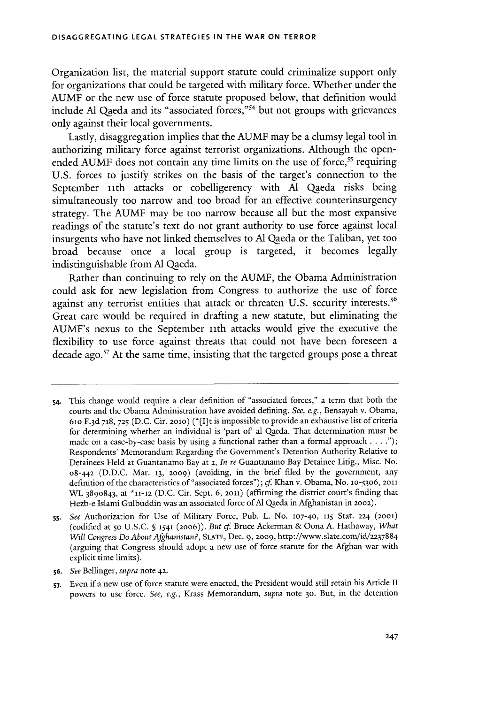Organization list, the material support statute could criminalize support only for organizations that could be targeted with military force. Whether under the **AUMF** or the new use of force statute proposed below, that definition would include **Al** Qaeda and its "associated forces,"54 but not groups with grievances only against their local governments.

Lastly, disaggregation implies that the **AUMF** may be a clumsy legal tool in authorizing military force against terrorist organizations. Although the openended AUMF does not contain any time limits on the use of force,<sup>55</sup> requiring **U.S.** forces to justify strikes on the basis of the target's connection to the September 11th attacks or cobelligerency with Al Qaeda risks being simultaneously too narrow and too broad for an effective counterinsurgency strategy. The **AUMF** may be too narrow because all but the most expansive readings of the statute's text do not grant authority to use force against local insurgents who have not linked themselves to **Al** Qaeda or the Taliban, yet too broad because once a local group is targeted, it becomes legally indistinguishable from **Al** Qaeda.

Rather than continuing to rely on the **AUMF,** the Obama Administration could ask for new legislation from Congress to authorize the use of force against any terrorist entities that attack or threaten U.S. security interests.<sup>56</sup> Great care would be required in drafting a new statute, but eliminating the AUMF's nexus to the September ith attacks would give the executive the flexibility to use force against threats that could not have been foreseen a decade ago.<sup>57</sup> At the same time, insisting that the targeted groups pose a threat

s4. This change would require a clear definition of "associated forces," a term that both the courts and the Obama Administration have avoided defining. *See, e.g.,* Bensayah v. Obama, 61o **F.3d 718, 725 (D.C.** Cir. **2010)** ("[I]t is impossible to provide an exhaustive list of criteria for determining whether an individual is 'part of al Qaeda. That determination must be made on a case-by-case basis **by** using a functional rather than a formal approach **. . . .");** Respondents' Memorandum Regarding the Government's Detention Authority Relative to Detainees **Held** at Guantanamo Bay at **2,** *In re* Guantanamo Bay Detainee Litig., Misc. No. o8-442 **(D.D.C.** Mar. **13, 2009)** (avoiding, in the brief filed **by** the government, any definition of the characteristics of "associated forces"); *cf* Khan v. Obama, No. **10-53o6, 2011** WL **3890843,** at **\*11-12 (D.C.** Cir. Sept. **6, 2011)** (affirming the district court's finding that Hezb-e Islami Gulbuddin was an associated force of **Al** Qaeda in Afghanistan in **2002).**

**ss.** *See* Authorization for Use of Military Force, Pub. L. No. **107-40, 115** Stat. **224 (2001)** (codified at **50 U.S.C. 5 1541 (20o6)).** *But cf* Bruce Ackerman **&** Oona **A.** Hathaway, What *Will Congress Do About Afghanistan?,* **SLATE,** Dec. **9, 2009,** http://www.slate.com/id/2237884 (arguing that Congress should adopt a new use of force statute for the Afghan war with explicit time limits).

**<sup>56.</sup>** *See Bellinger, supra* note **42.**

**<sup>57.</sup>** Even if a new use of force statute were enacted, the President would still retain his Article II powers to use force. *See, e.g.,* Krass Memorandum, *supra* note **30.** But, in the detention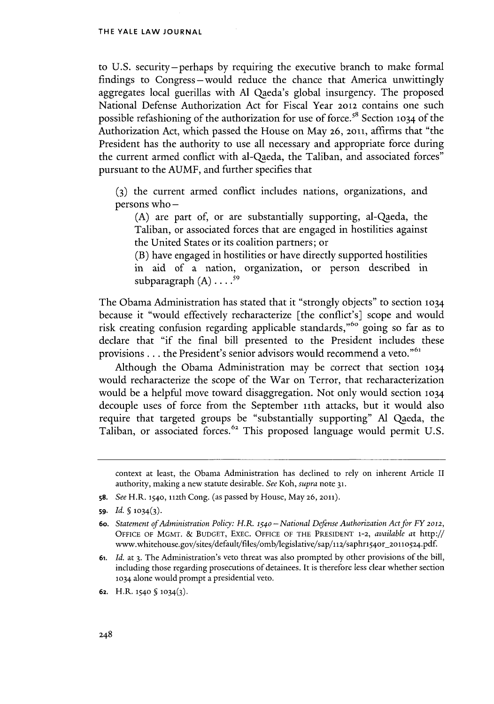to **U.S.** security-perhaps **by** requiring the executive branch to make formal findings to Congress-would reduce the chance that America unwittingly aggregates local guerillas with **Al** Qaeda's global insurgency. The proposed National Defense Authorization Act for Fiscal Year **2012** contains one such possible refashioning of the authorization for use of force.'" Section **1034** of the Authorization Act, which passed the House on May **26, 2011,** affirms that "the President has the authority to use all necessary and appropriate force during the current armed conflict with al-Qaeda, the Taliban, and associated forces" pursuant to the **AUMF,** and further specifies that

**(3)** the current armed conflict includes nations, organizations, and persons who **-**

**(A)** are part of, or are substantially supporting, al-Qaeda, the Taliban, or associated forces that are engaged in hostilities against the United States or its coalition partners; or

(B) have engaged in hostilities or have directly supported hostilities in aid of a nation, organization, or person described in subparagraph  $(A)$   $\ldots$ <sup>59</sup>

The Obama Administration has stated that it "strongly objects" to section **<sup>1034</sup>** because it "would effectively recharacterize [the conflict's] scope and would risk creating confusion regarding applicable standards,"<sup>60</sup> going so far as to declare that "if the final bill presented to the President includes these provisions . . . the President's senior advisors would recommend a veto."<sup>61</sup>

Although the Obama Administration may be correct that section **<sup>1034</sup>** would recharacterize the scope of the War on Terror, that recharacterization would be a helpful move toward disaggregation. Not only would section **<sup>1034</sup>** decouple uses of force from the September 1ith attacks, but it would also require that targeted groups be "substantially supporting" **Al** Qaeda, the Taliban, or associated forces.<sup>62</sup> This proposed language would permit U.S

**s8.** *See* H.R. **1540, 112th** Cong. (as passed **by** House, May **26, 2011).**

- *61. Id.* **at 3.** The Administration's veto threat was also prompted **by** other provisions of the bill, including those regarding prosecutions of detainees. It is therefore less clear whether section **1034** alone would prompt a presidential veto.
- **62.** H.R. **1540 5 1034(3).**

context at least, the Obama Administration has declined to rely on inherent Article II authority, making a new statute desirable. *See Koh, supra* note **31.**

**<sup>59.</sup>** *Id.*  $\{(1034)(3)\}$ .

**<sup>6</sup>o.** *Statement of Administration Policy: H.R. 154o-National Defense Authorization Act for FY 2012,* **OFFICE OF MGMT. & BUDGET,** ExEc. **OFFICE OF THE PRESIDENT 1-2,** *available at* http:// www.whitehouse.gov/sites/default/files/omb/legislative/sap/112/saphr154or\_2onlo524.pdf.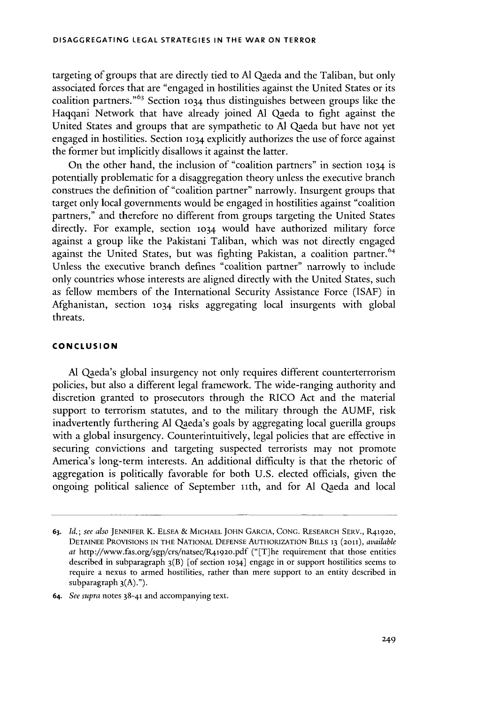targeting of groups that are directly tied to **Al** Qaeda and the Taliban, but only associated forces that are "engaged in hostilities against the United States or its coalition partners." 63 Section **1034** thus distinguishes between groups like the Haqqani Network that have already joined **Al** Qaeda to fight against the United States and groups that are sympathetic to **Al** Qaeda but have not yet engaged in hostilities. Section **1034** explicitly authorizes the use of force against the former but implicitly disallows it against the latter.

On the other hand, the inclusion of "coalition partners" in section **1034** is potentially problematic for a disaggregation theory unless the executive branch construes the definition of "coalition partner" narrowly. Insurgent groups that target only local governments would be engaged in hostilities against "coalition partners," and therefore no different from groups targeting the United States directly. For example, section **1034** would have authorized military force against a group like the Pakistani Taliban, which was not directly engaged against the United States, but was fighting Pakistan, a coalition partner.<sup>64</sup> Unless the executive branch defines "coalition partner" narrowly to include only countries whose interests are aligned directly with the United States, such as fellow members of the International Security Assistance Force **(ISAF)** in Afghanistan, section **1034** risks aggregating local insurgents with global threats.

#### **CONCLUSION**

**Al** Qaeda's global insurgency not only requires different counterterrorism policies, but also a different legal framework. The wide-ranging authority and discretion granted to prosecutors through the RICO Act and the material support to terrorism statutes, and to the military through the **AUMF,** risk inadvertently furthering **Al** Qaeda's goals **by** aggregating local guerilla groups with a global insurgency. Counterintuitively, legal policies that are effective in securing convictions and targeting suspected terrorists may not promote America's long-term interests. An additional difficulty is that the rhetoric of aggregation is politically favorable for both **U.S.** elected officials, given the ongoing political salience of September iith, and for **Al** Qaeda and local

**<sup>63.</sup>** *Id.;* see *also* **JENNIFER** K. **ELSEA** *&* **MICHAEL JOHN** GARCIA, **CONG.** RESEARCH SERV., R41920, **DETAINEE PROVISIONS IN THE** NATIONAL **DEFENSE** AUTHORIZATION BILLS **13 (2011),** *available* at http://www.fas.org/sgp/crs/natsec/R41920.pdf ("[T]he requirement that those entities described in subparagraph 3(B) [of section **1034]** engage in or support hostilities seems to require a nexus to armed hostilities, rather than mere support to an entity described in subparagraph **3(A).").**

*<sup>64.</sup> See supra* notes **38-41** and accompanying text.